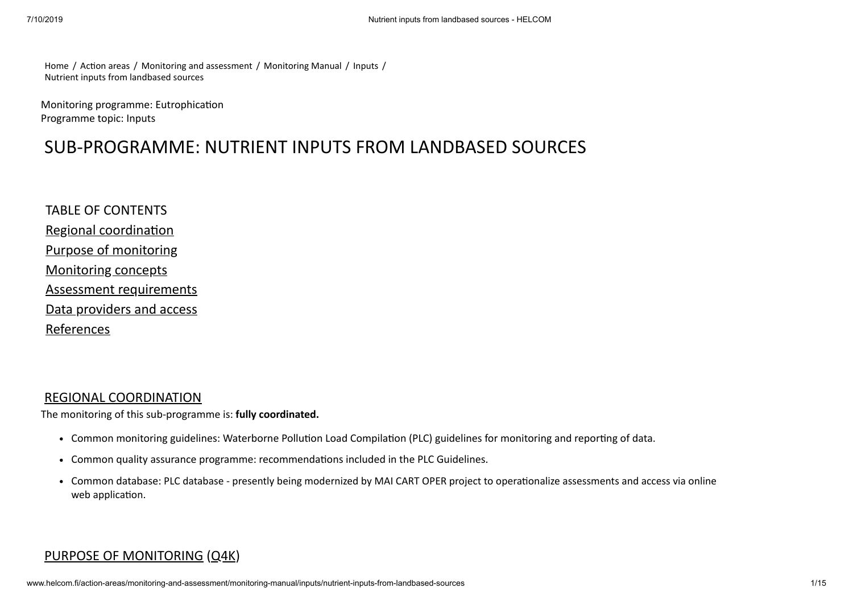[Home](http://www.helcom.fi/) / Action areas / [Monitoring and assessment](http://www.helcom.fi/action-areas/monitoring-and-assessment/) / [Monitoring Manual](http://www.helcom.fi/action-areas/monitoring-and-assessment/monitoring-manual/) / [Inputs](http://www.helcom.fi/action-areas/monitoring-and-assessment/monitoring-manual/inputs/) / [Nutrient inputs from landbased sources](http://www.helcom.fi/action-areas/monitoring-and-assessment/monitoring-manual/inputs/nutrient-inputs-from-landbased-sources/)

Monitoring programme: Eutrophication Programme topic: Inputs

# SUB-PROGRAMME: NUTRIENT INPUTS FROM LANDBASED SOURCES

TABLE OF CONTENTS Regional coordination [Purpose of monitoring](#page-0-1) [Monitoring concepts](#page-2-0) [Assessment requirements](#page-7-0) [Data providers and access](#page-13-0) [References](#page-14-0)

### <span id="page-0-0"></span>[REGIONAL COORDINATION](http://www.helcom.fi/action-areas/monitoring-and-assessment/monitoring-manual/inputs/nutrient-inputs-from-landbased-sources)

The monitoring of this sub-programme is: **fully coordinated.**

- Common monitoring guidelines: Waterborne Pollution Load Compilation (PLC) guidelines for monitoring and reporting of data.
- Common quality assurance programme: recommendations included in the PLC Guidelines.
- Common database: PLC database presently being modernized by MAI CART OPER project to operationalize assessments and access via online web application.

### <span id="page-0-1"></span>[PURPOSE OF MONITORING](http://www.helcom.fi/action-areas/monitoring-and-assessment/monitoring-manual/inputs/nutrient-inputs-from-landbased-sources) [\(Q4K](http://www.helcom.fi/action-areas/monitoring-and-assessment/monitoring-manual/introduction#4k))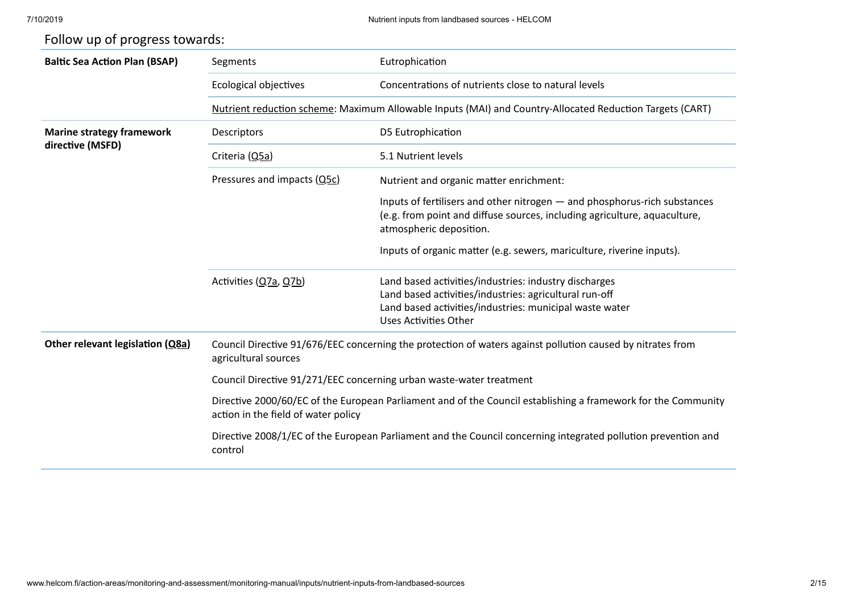| <b>Baltic Sea Action Plan (BSAP)</b> | Segments                                                                                                                                             | Eutrophication                                                                                                                                                                                      |  |  |  |  |
|--------------------------------------|------------------------------------------------------------------------------------------------------------------------------------------------------|-----------------------------------------------------------------------------------------------------------------------------------------------------------------------------------------------------|--|--|--|--|
|                                      | Ecological objectives                                                                                                                                | Concentrations of nutrients close to natural levels                                                                                                                                                 |  |  |  |  |
|                                      |                                                                                                                                                      | Nutrient reduction scheme: Maximum Allowable Inputs (MAI) and Country-Allocated Reduction Targets (CART)                                                                                            |  |  |  |  |
| <b>Marine strategy framework</b>     | Descriptors                                                                                                                                          | D5 Eutrophication                                                                                                                                                                                   |  |  |  |  |
| directive (MSFD)                     | Criteria (Q5a)                                                                                                                                       | 5.1 Nutrient levels                                                                                                                                                                                 |  |  |  |  |
|                                      | Pressures and impacts (Q5c)                                                                                                                          | Nutrient and organic matter enrichment:                                                                                                                                                             |  |  |  |  |
|                                      |                                                                                                                                                      | Inputs of fertilisers and other nitrogen - and phosphorus-rich substances<br>(e.g. from point and diffuse sources, including agriculture, aquaculture,<br>atmospheric deposition.                   |  |  |  |  |
|                                      |                                                                                                                                                      | Inputs of organic matter (e.g. sewers, mariculture, riverine inputs).                                                                                                                               |  |  |  |  |
|                                      | Activities (Q7a, Q7b)                                                                                                                                | Land based activities/industries: industry discharges<br>Land based activities/industries: agricultural run-off<br>Land based activities/industries: municipal waste water<br>Uses Activities Other |  |  |  |  |
| Other relevant legislation (Q8a)     | Council Directive 91/676/EEC concerning the protection of waters against pollution caused by nitrates from<br>agricultural sources                   |                                                                                                                                                                                                     |  |  |  |  |
|                                      | Council Directive 91/271/EEC concerning urban waste-water treatment                                                                                  |                                                                                                                                                                                                     |  |  |  |  |
|                                      | Directive 2000/60/EC of the European Parliament and of the Council establishing a framework for the Community<br>action in the field of water policy |                                                                                                                                                                                                     |  |  |  |  |
|                                      | Directive 2008/1/EC of the European Parliament and the Council concerning integrated pollution prevention and<br>control                             |                                                                                                                                                                                                     |  |  |  |  |

# Follow up of progress towards: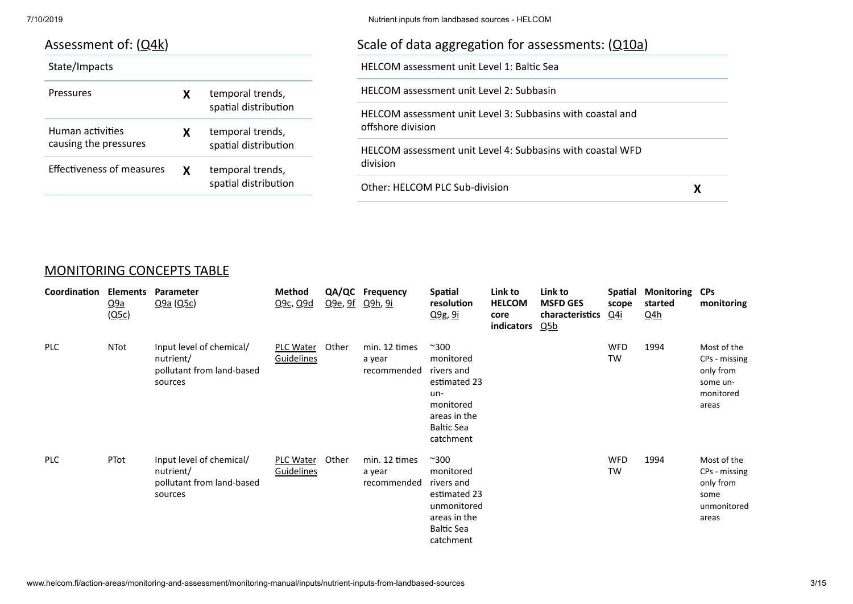| Assessment of: $(Q4k)$           |                      |                      | Scale of data aggregation for assessments: $(Q10a)$        |  |  |  |
|----------------------------------|----------------------|----------------------|------------------------------------------------------------|--|--|--|
| State/Impacts                    |                      |                      | <b>HELCOM</b> assessment unit Level 1: Baltic Sea          |  |  |  |
| <b>Pressures</b>                 |                      | temporal trends,     | <b>HELCOM</b> assessment unit Level 2: Subbasin            |  |  |  |
|                                  |                      | spatial distribution | HELCOM assessment unit Level 3: Subbasins with coastal and |  |  |  |
| Human activities                 | x                    | temporal trends,     | offshore division                                          |  |  |  |
| causing the pressures            |                      | spatial distribution | HELCOM assessment unit Level 4: Subbasins with coastal WFD |  |  |  |
| <b>Effectiveness of measures</b> | X                    | temporal trends,     | division                                                   |  |  |  |
|                                  | spatial distribution |                      | Other: HELCOM PLC Sub-division                             |  |  |  |

### <span id="page-2-0"></span>[MONITORING CONCEPTS TABLE](#page-2-0)

| Coordination | <b>Elements</b><br>Q <sub>9a</sub><br>(Q5c) | Parameter<br>Q9a(Q5c)                                                         | Method<br>Q <sub>9c</sub> , Q <sub>9d</sub> | Q <sub>9e</sub> , 9f Q <sub>9h</sub> , 9i | QA/QC Frequency                        | Spatial<br>resolution<br><u>Q9g, 9i</u>                                                                                       | Link to<br><b>HELCOM</b><br>core<br>indicators | Link to<br><b>MSFD GES</b><br>characteristics<br>Q5b | scope<br><u>Q4i</u>     | Spatial Monitoring CPs<br>started<br><u>Q4h</u> | monitoring                                                                  |
|--------------|---------------------------------------------|-------------------------------------------------------------------------------|---------------------------------------------|-------------------------------------------|----------------------------------------|-------------------------------------------------------------------------------------------------------------------------------|------------------------------------------------|------------------------------------------------------|-------------------------|-------------------------------------------------|-----------------------------------------------------------------------------|
| <b>PLC</b>   | NTot                                        | Input level of chemical/<br>nutrient/<br>pollutant from land-based<br>sources | PLC Water Other<br>Guidelines               |                                           | min. 12 times<br>a year<br>recommended | $^{\sim}300$<br>monitored<br>rivers and<br>estimated 23<br>un-<br>monitored<br>areas in the<br><b>Baltic Sea</b><br>catchment |                                                |                                                      | <b>WFD</b><br><b>TW</b> | 1994                                            | Most of the<br>CPs - missing<br>only from<br>some un-<br>monitored<br>areas |
| <b>PLC</b>   | PTot                                        | Input level of chemical/<br>nutrient/<br>pollutant from land-based<br>sources | PLC Water<br>Guidelines                     | Other                                     | min. 12 times<br>a year<br>recommended | $^{\sim}300$<br>monitored<br>rivers and<br>estimated 23<br>unmonitored<br>areas in the<br><b>Baltic Sea</b><br>catchment      |                                                |                                                      | <b>WFD</b><br>TW        | 1994                                            | Most of the<br>CPs - missing<br>only from<br>some<br>unmonitored<br>areas   |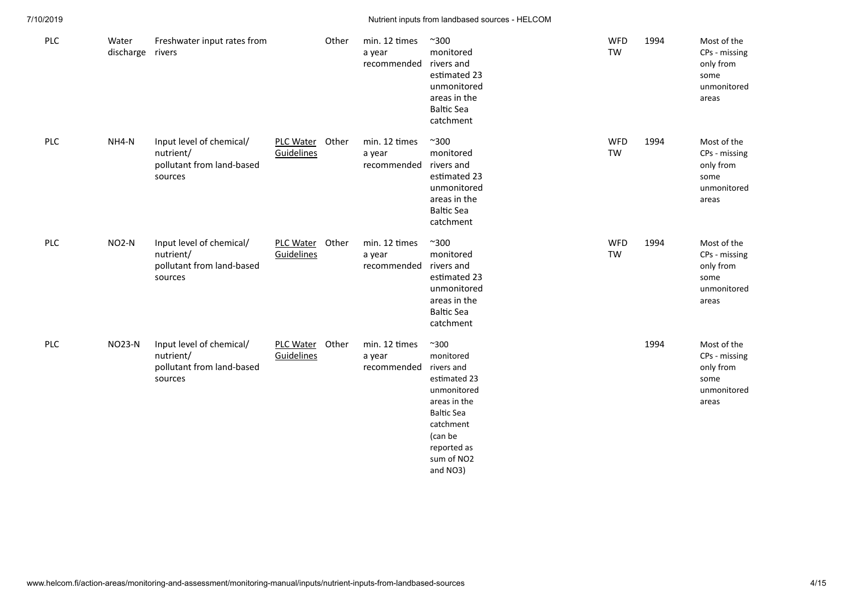| PLC        | Water<br>discharge rivers | Freshwater input rates from                                                   |                                | Other | min. 12 times<br>a year<br>recommended | $^{\sim}300$<br>monitored<br>rivers and<br>estimated 23<br>unmonitored<br>areas in the<br><b>Baltic Sea</b><br>catchment                                                     | WFD<br><b>TW</b> | 1994 | Most of the<br>CPs - missing<br>only from<br>some<br>unmonitored<br>areas |
|------------|---------------------------|-------------------------------------------------------------------------------|--------------------------------|-------|----------------------------------------|------------------------------------------------------------------------------------------------------------------------------------------------------------------------------|------------------|------|---------------------------------------------------------------------------|
| PLC        | NH4-N                     | Input level of chemical/<br>nutrient/<br>pollutant from land-based<br>sources | <b>PLC Water</b><br>Guidelines | Other | min. 12 times<br>a year<br>recommended | $^{\sim}300$<br>monitored<br>rivers and<br>estimated 23<br>unmonitored<br>areas in the<br><b>Baltic Sea</b><br>catchment                                                     | <b>WFD</b><br>TW | 1994 | Most of the<br>CPs - missing<br>only from<br>some<br>unmonitored<br>areas |
| PLC        | NO <sub>2</sub> -N        | Input level of chemical/<br>nutrient/<br>pollutant from land-based<br>sources | PLC Water Other<br>Guidelines  |       | min. 12 times<br>a year<br>recommended | $^{\sim}300$<br>monitored<br>rivers and<br>estimated 23<br>unmonitored<br>areas in the<br><b>Baltic Sea</b><br>catchment                                                     | <b>WFD</b><br>TW | 1994 | Most of the<br>CPs - missing<br>only from<br>some<br>unmonitored<br>areas |
| <b>PLC</b> | <b>NO23-N</b>             | Input level of chemical/<br>nutrient/<br>pollutant from land-based<br>sources | <b>PLC Water</b><br>Guidelines | Other | min. 12 times<br>a year<br>recommended | $^{\sim}300$<br>monitored<br>rivers and<br>estimated 23<br>unmonitored<br>areas in the<br><b>Baltic Sea</b><br>catchment<br>(can be<br>reported as<br>sum of NO2<br>and NO3) |                  | 1994 | Most of the<br>CPs - missing<br>only from<br>some<br>unmonitored<br>areas |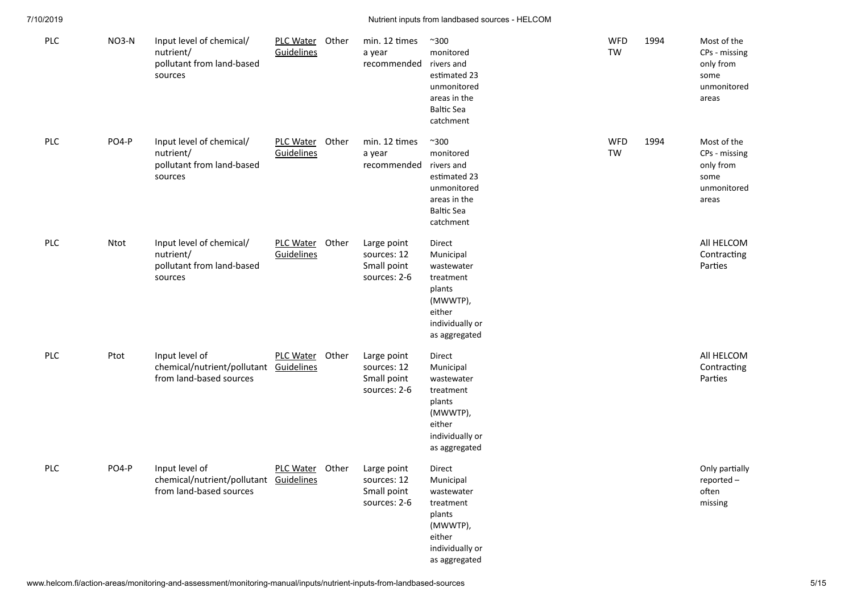| <b>PLC</b> | NO3-N | Input level of chemical/<br>nutrient/<br>pollutant from land-based<br>sources       | PLC Water Other<br>Guidelines |       | min. 12 times<br>a year<br>recommended                    | $^{\sim}300$<br>monitored<br>rivers and<br>estimated 23<br>unmonitored<br>areas in the<br><b>Baltic Sea</b><br>catchment | <b>WFD</b><br><b>TW</b> | 1994 | Most of the<br>CPs - missing<br>only from<br>some<br>unmonitored<br>areas |
|------------|-------|-------------------------------------------------------------------------------------|-------------------------------|-------|-----------------------------------------------------------|--------------------------------------------------------------------------------------------------------------------------|-------------------------|------|---------------------------------------------------------------------------|
| <b>PLC</b> | PO4-P | Input level of chemical/<br>nutrient/<br>pollutant from land-based<br>sources       | PLC Water Other<br>Guidelines |       | min. 12 times<br>a year<br>recommended                    | $^{\sim}300$<br>monitored<br>rivers and<br>estimated 23<br>unmonitored<br>areas in the<br><b>Baltic Sea</b><br>catchment | <b>WFD</b><br>TW        | 1994 | Most of the<br>CPs - missing<br>only from<br>some<br>unmonitored<br>areas |
| <b>PLC</b> | Ntot  | Input level of chemical/<br>nutrient/<br>pollutant from land-based<br>sources       | PLC Water Other<br>Guidelines |       | Large point<br>sources: 12<br>Small point<br>sources: 2-6 | Direct<br>Municipal<br>wastewater<br>treatment<br>plants<br>(MWWTP),<br>either<br>individually or<br>as aggregated       |                         |      | All HELCOM<br>Contracting<br>Parties                                      |
| <b>PLC</b> | Ptot  | Input level of<br>chemical/nutrient/pollutant<br>from land-based sources            | PLC Water Other<br>Guidelines |       | Large point<br>sources: 12<br>Small point<br>sources: 2-6 | Direct<br>Municipal<br>wastewater<br>treatment<br>plants<br>(MWWTP),<br>either<br>individually or<br>as aggregated       |                         |      | All HELCOM<br>Contracting<br>Parties                                      |
| <b>PLC</b> | PO4-P | Input level of<br>chemical/nutrient/pollutant Guidelines<br>from land-based sources | <b>PLC Water</b>              | Other | Large point<br>sources: 12<br>Small point<br>sources: 2-6 | Direct<br>Municipal<br>wastewater<br>treatment<br>plants<br>(MWWTP),<br>either<br>individually or<br>as aggregated       |                         |      | Only partially<br>reported-<br>often<br>missing                           |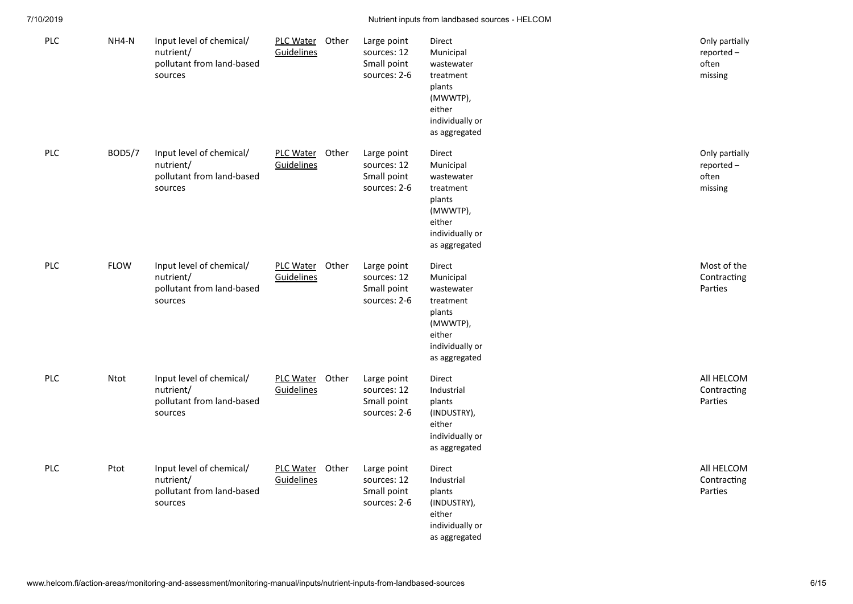| PLC        | NH4-N         | Input level of chemical/<br>nutrient/<br>pollutant from land-based<br>sources | PLC Water Other<br>Guidelines | Large point<br>sources: 12<br>Small point<br>sources: 2-6 | Direct<br>Municipal<br>wastewater<br>treatment<br>plants<br>(MWWTP),<br>either<br>individually or<br>as aggregated | Only partially<br>reported-<br>often<br>missing |
|------------|---------------|-------------------------------------------------------------------------------|-------------------------------|-----------------------------------------------------------|--------------------------------------------------------------------------------------------------------------------|-------------------------------------------------|
| PLC        | <b>BOD5/7</b> | Input level of chemical/<br>nutrient/<br>pollutant from land-based<br>sources | PLC Water Other<br>Guidelines | Large point<br>sources: 12<br>Small point<br>sources: 2-6 | Direct<br>Municipal<br>wastewater<br>treatment<br>plants<br>(MWWTP),<br>either<br>individually or<br>as aggregated | Only partially<br>reported-<br>often<br>missing |
| <b>PLC</b> | <b>FLOW</b>   | Input level of chemical/<br>nutrient/<br>pollutant from land-based<br>sources | PLC Water Other<br>Guidelines | Large point<br>sources: 12<br>Small point<br>sources: 2-6 | Direct<br>Municipal<br>wastewater<br>treatment<br>plants<br>(MWWTP),<br>either<br>individually or<br>as aggregated | Most of the<br>Contracting<br>Parties           |
| PLC        | Ntot          | Input level of chemical/<br>nutrient/<br>pollutant from land-based<br>sources | PLC Water Other<br>Guidelines | Large point<br>sources: 12<br>Small point<br>sources: 2-6 | Direct<br>Industrial<br>plants<br>(INDUSTRY),<br>either<br>individually or<br>as aggregated                        | All HELCOM<br>Contracting<br>Parties            |
| PLC        | Ptot          | Input level of chemical/<br>nutrient/<br>pollutant from land-based<br>sources | PLC Water Other<br>Guidelines | Large point<br>sources: 12<br>Small point<br>sources: 2-6 | Direct<br>Industrial<br>plants<br>(INDUSTRY),<br>either<br>individually or<br>as aggregated                        | All HELCOM<br>Contracting<br>Parties            |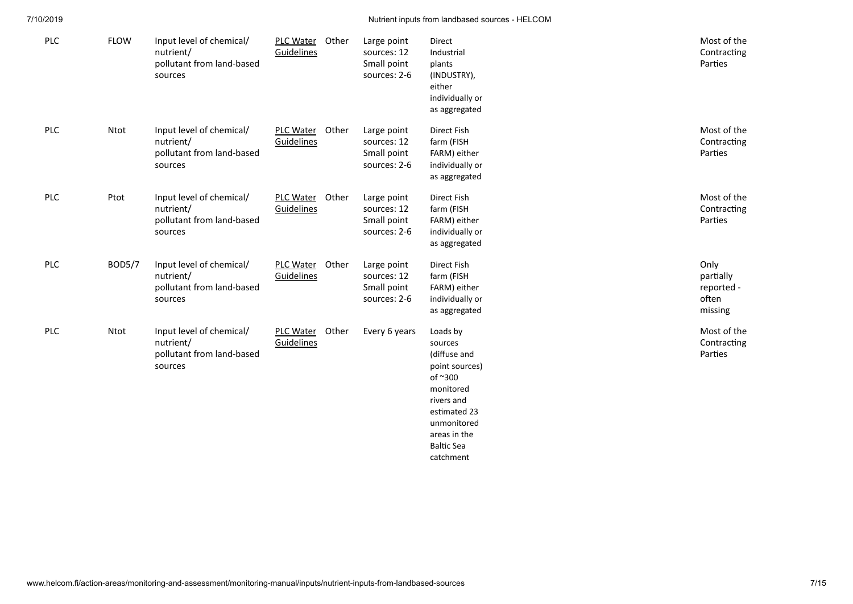| <b>PLC</b> | <b>FLOW</b>   | Input level of chemical/<br>nutrient/<br>pollutant from land-based<br>sources | PLC Water Other<br>Guidelines        |       | Large point<br>sources: 12<br>Small point<br>sources: 2-6 | Direct<br>Industrial<br>plants<br>(INDUSTRY),<br>either<br>individually or<br>as aggregated                                                                                  | Most of the<br>Contracting<br>Parties               |
|------------|---------------|-------------------------------------------------------------------------------|--------------------------------------|-------|-----------------------------------------------------------|------------------------------------------------------------------------------------------------------------------------------------------------------------------------------|-----------------------------------------------------|
| PLC        | Ntot          | Input level of chemical/<br>nutrient/<br>pollutant from land-based<br>sources | PLC Water Other<br><b>Guidelines</b> |       | Large point<br>sources: 12<br>Small point<br>sources: 2-6 | Direct Fish<br>farm (FISH<br>FARM) either<br>individually or<br>as aggregated                                                                                                | Most of the<br>Contracting<br>Parties               |
| <b>PLC</b> | Ptot          | Input level of chemical/<br>nutrient/<br>pollutant from land-based<br>sources | PLC Water Other<br>Guidelines        |       | Large point<br>sources: 12<br>Small point<br>sources: 2-6 | Direct Fish<br>farm (FISH<br>FARM) either<br>individually or<br>as aggregated                                                                                                | Most of the<br>Contracting<br>Parties               |
| PLC        | <b>BOD5/7</b> | Input level of chemical/<br>nutrient/<br>pollutant from land-based<br>sources | PLC Water Other<br>Guidelines        |       | Large point<br>sources: 12<br>Small point<br>sources: 2-6 | Direct Fish<br>farm (FISH<br>FARM) either<br>individually or<br>as aggregated                                                                                                | Only<br>partially<br>reported -<br>often<br>missing |
| <b>PLC</b> | Ntot          | Input level of chemical/<br>nutrient/<br>pollutant from land-based<br>sources | <b>PLC Water</b><br>Guidelines       | Other | Every 6 years                                             | Loads by<br>sources<br>(diffuse and<br>point sources)<br>of ~300<br>monitored<br>rivers and<br>estimated 23<br>unmonitored<br>areas in the<br><b>Baltic Sea</b><br>catchment | Most of the<br>Contracting<br>Parties               |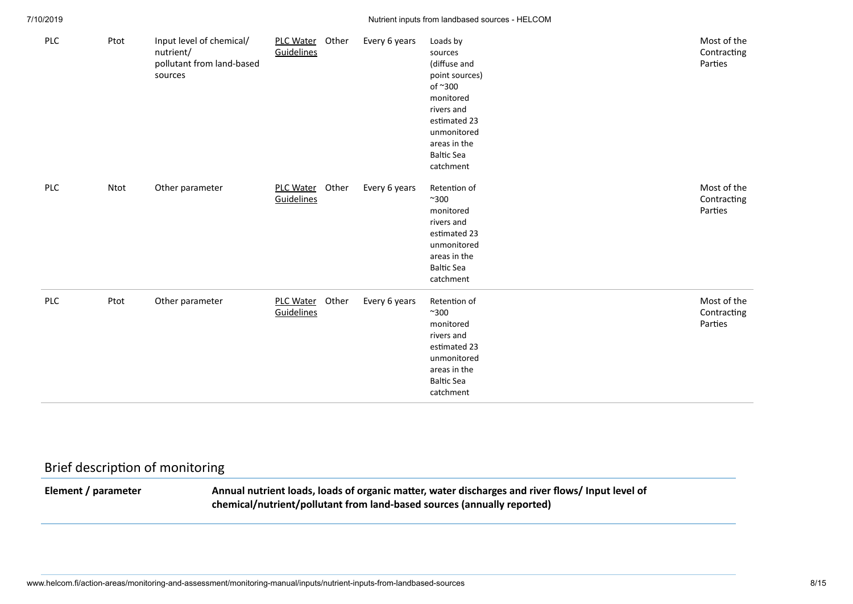| PLC        | Ptot | Input level of chemical/<br>nutrient/<br>pollutant from land-based<br>sources | PLC Water<br>Guidelines        | Other | Every 6 years | Loads by<br>sources<br>(diffuse and<br>point sources)<br>of ~300<br>monitored<br>rivers and<br>estimated 23<br>unmonitored<br>areas in the<br><b>Baltic Sea</b><br>catchment | Most of the<br>Contracting<br>Parties |
|------------|------|-------------------------------------------------------------------------------|--------------------------------|-------|---------------|------------------------------------------------------------------------------------------------------------------------------------------------------------------------------|---------------------------------------|
| <b>PLC</b> | Ntot | Other parameter                                                               | <b>PLC Water</b><br>Guidelines | Other | Every 6 years | Retention of<br>$^{\sim}300$<br>monitored<br>rivers and<br>estimated 23<br>unmonitored<br>areas in the<br><b>Baltic Sea</b><br>catchment                                     | Most of the<br>Contracting<br>Parties |
| PLC        | Ptot | Other parameter                                                               | PLC Water<br>Guidelines        | Other | Every 6 years | Retention of<br>$^{\sim}300$<br>monitored<br>rivers and<br>estimated 23<br>unmonitored<br>areas in the<br><b>Baltic Sea</b><br>catchment                                     | Most of the<br>Contracting<br>Parties |

# <span id="page-7-0"></span>Brief description of monitoring

Element / parameter Annual nutrient loads, loads of organic matter, water discharges and river flows/ Input level of **chemical/nutrient/pollutant from land-based sources (annually reported)**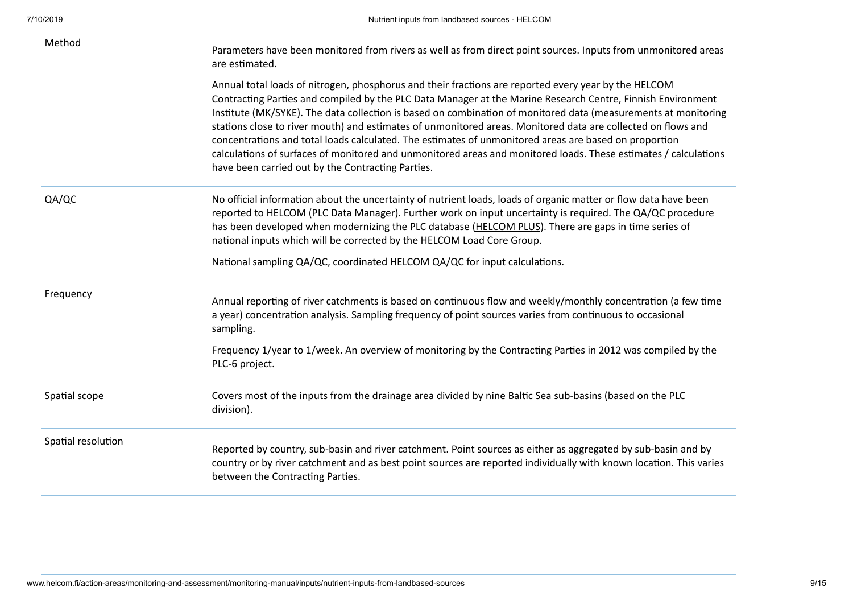| Method             | Parameters have been monitored from rivers as well as from direct point sources. Inputs from unmonitored areas<br>are estimated.                                                                                                                                                                                                                                                                                                                                                                                                                                                                                                                                                                                                       |
|--------------------|----------------------------------------------------------------------------------------------------------------------------------------------------------------------------------------------------------------------------------------------------------------------------------------------------------------------------------------------------------------------------------------------------------------------------------------------------------------------------------------------------------------------------------------------------------------------------------------------------------------------------------------------------------------------------------------------------------------------------------------|
|                    | Annual total loads of nitrogen, phosphorus and their fractions are reported every year by the HELCOM<br>Contracting Parties and compiled by the PLC Data Manager at the Marine Research Centre, Finnish Environment<br>Institute (MK/SYKE). The data collection is based on combination of monitored data (measurements at monitoring<br>stations close to river mouth) and estimates of unmonitored areas. Monitored data are collected on flows and<br>concentrations and total loads calculated. The estimates of unmonitored areas are based on proportion<br>calculations of surfaces of monitored and unmonitored areas and monitored loads. These estimates / calculations<br>have been carried out by the Contracting Parties. |
| QA/QC              | No official information about the uncertainty of nutrient loads, loads of organic matter or flow data have been<br>reported to HELCOM (PLC Data Manager). Further work on input uncertainty is required. The QA/QC procedure<br>has been developed when modernizing the PLC database (HELCOM PLUS). There are gaps in time series of<br>national inputs which will be corrected by the HELCOM Load Core Group.                                                                                                                                                                                                                                                                                                                         |
|                    | National sampling QA/QC, coordinated HELCOM QA/QC for input calculations.                                                                                                                                                                                                                                                                                                                                                                                                                                                                                                                                                                                                                                                              |
| Frequency          | Annual reporting of river catchments is based on continuous flow and weekly/monthly concentration (a few time<br>a year) concentration analysis. Sampling frequency of point sources varies from continuous to occasional<br>sampling.                                                                                                                                                                                                                                                                                                                                                                                                                                                                                                 |
|                    | Frequency 1/year to 1/week. An overview of monitoring by the Contracting Parties in 2012 was compiled by the<br>PLC-6 project.                                                                                                                                                                                                                                                                                                                                                                                                                                                                                                                                                                                                         |
| Spatial scope      | Covers most of the inputs from the drainage area divided by nine Baltic Sea sub-basins (based on the PLC<br>division).                                                                                                                                                                                                                                                                                                                                                                                                                                                                                                                                                                                                                 |
| Spatial resolution | Reported by country, sub-basin and river catchment. Point sources as either as aggregated by sub-basin and by<br>country or by river catchment and as best point sources are reported individually with known location. This varies<br>between the Contracting Parties.                                                                                                                                                                                                                                                                                                                                                                                                                                                                |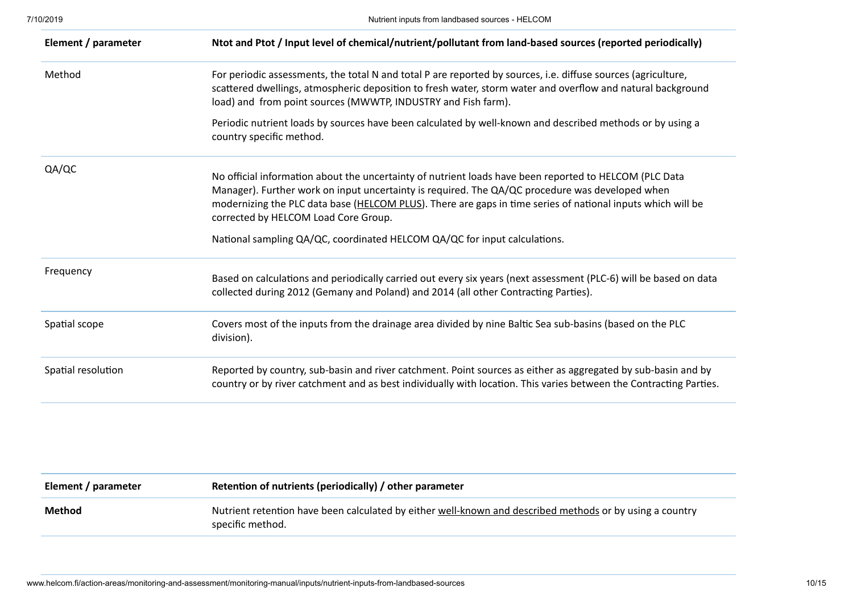| Element / parameter | Ntot and Ptot / Input level of chemical/nutrient/pollutant from land-based sources (reported periodically)                                                                                                                                                                                                                                                                                                                                    |
|---------------------|-----------------------------------------------------------------------------------------------------------------------------------------------------------------------------------------------------------------------------------------------------------------------------------------------------------------------------------------------------------------------------------------------------------------------------------------------|
| Method              | For periodic assessments, the total N and total P are reported by sources, i.e. diffuse sources (agriculture,<br>scattered dwellings, atmospheric deposition to fresh water, storm water and overflow and natural background<br>load) and from point sources (MWWTP, INDUSTRY and Fish farm).                                                                                                                                                 |
|                     | Periodic nutrient loads by sources have been calculated by well-known and described methods or by using a<br>country specific method.                                                                                                                                                                                                                                                                                                         |
| QA/QC               | No official information about the uncertainty of nutrient loads have been reported to HELCOM (PLC Data<br>Manager). Further work on input uncertainty is required. The QA/QC procedure was developed when<br>modernizing the PLC data base (HELCOM PLUS). There are gaps in time series of national inputs which will be<br>corrected by HELCOM Load Core Group.<br>National sampling QA/QC, coordinated HELCOM QA/QC for input calculations. |
| Frequency           | Based on calculations and periodically carried out every six years (next assessment (PLC-6) will be based on data<br>collected during 2012 (Gemany and Poland) and 2014 (all other Contracting Parties).                                                                                                                                                                                                                                      |
| Spatial scope       | Covers most of the inputs from the drainage area divided by nine Baltic Sea sub-basins (based on the PLC<br>division).                                                                                                                                                                                                                                                                                                                        |
| Spatial resolution  | Reported by country, sub-basin and river catchment. Point sources as either as aggregated by sub-basin and by<br>country or by river catchment and as best individually with location. This varies between the Contracting Parties.                                                                                                                                                                                                           |

| Element / parameter | Retention of nutrients (periodically) / other parameter                                                                      |
|---------------------|------------------------------------------------------------------------------------------------------------------------------|
| Method              | Nutrient retention have been calculated by either well-known and described methods or by using a country<br>specific method. |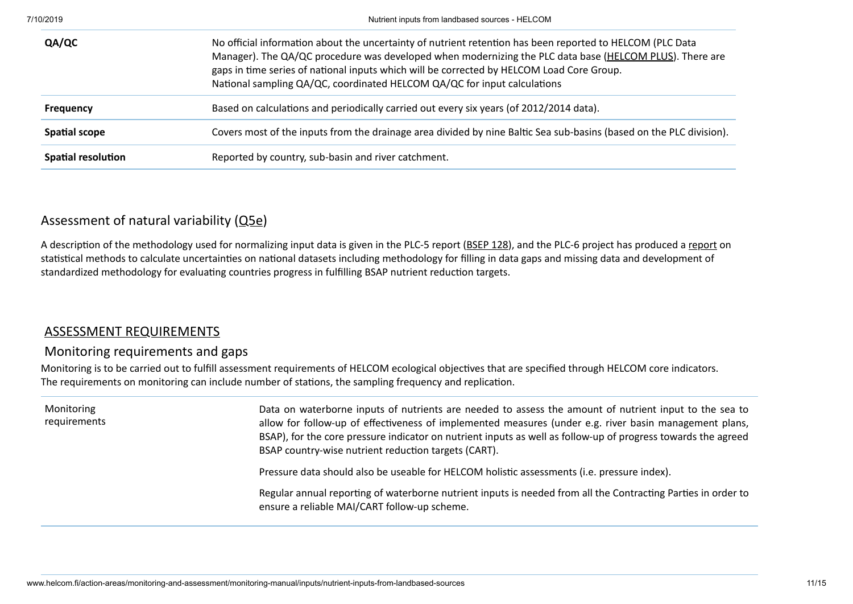| QA/QC                     | No official information about the uncertainty of nutrient retention has been reported to HELCOM (PLC Data<br>Manager). The QA/QC procedure was developed when modernizing the PLC data base (HELCOM PLUS). There are<br>gaps in time series of national inputs which will be corrected by HELCOM Load Core Group.<br>National sampling QA/QC, coordinated HELCOM QA/QC for input calculations |
|---------------------------|-----------------------------------------------------------------------------------------------------------------------------------------------------------------------------------------------------------------------------------------------------------------------------------------------------------------------------------------------------------------------------------------------|
| <b>Frequency</b>          | Based on calculations and periodically carried out every six years (of 2012/2014 data).                                                                                                                                                                                                                                                                                                       |
| <b>Spatial scope</b>      | Covers most of the inputs from the drainage area divided by nine Baltic Sea sub-basins (based on the PLC division).                                                                                                                                                                                                                                                                           |
| <b>Spatial resolution</b> | Reported by country, sub-basin and river catchment.                                                                                                                                                                                                                                                                                                                                           |

## Assessment of natural variability [\(Q5e](http://www.helcom.fi/action-areas/monitoring-and-assessment/monitoring-manual/introduction#5e))

A description of the methodology used for normalizing input data is given in the PLC-5 report ([BSEP](http://www.helcom.fi/Lists/Publications/BSEP128.pdf) 128), and the PLC-6 project has produced a [report](http://www.helcom.fi/Documents/HELCOM%20at%20work/Projects/PLC-6/Final%20report%20on%20Statistical%20aspects%20in%20relation%20to%20Baltic%20Sea%20pollution%20load%20compilation.pdf) on statistical methods to calculate uncertainties on national datasets including methodology for filling in data gaps and missing data and development of standardized methodology for evaluating countries progress in fulfilling BSAP nutrient reduction targets.

### [ASSESSMENT REQUIREMENTS](http://www.helcom.fi/action-areas/monitoring-and-assessment/monitoring-manual/inputs/nutrient-inputs-from-landbased-sources)

## Monitoring requirements and gaps

Monitoring is to be carried out to fulfill assessment requirements of HELCOM ecological objectives that are specified through HELCOM core indicators. The requirements on monitoring can include number of stations, the sampling frequency and replication.

| Monitoring<br>requirements | Data on waterborne inputs of nutrients are needed to assess the amount of nutrient input to the sea to<br>allow for follow-up of effectiveness of implemented measures (under e.g. river basin management plans,<br>BSAP), for the core pressure indicator on nutrient inputs as well as follow-up of progress towards the agreed<br>BSAP country-wise nutrient reduction targets (CART). |
|----------------------------|-------------------------------------------------------------------------------------------------------------------------------------------------------------------------------------------------------------------------------------------------------------------------------------------------------------------------------------------------------------------------------------------|
|                            | Pressure data should also be useable for HELCOM holistic assessments (i.e. pressure index).                                                                                                                                                                                                                                                                                               |
|                            | Regular annual reporting of waterborne nutrient inputs is needed from all the Contracting Parties in order to<br>ensure a reliable MAI/CART follow-up scheme.                                                                                                                                                                                                                             |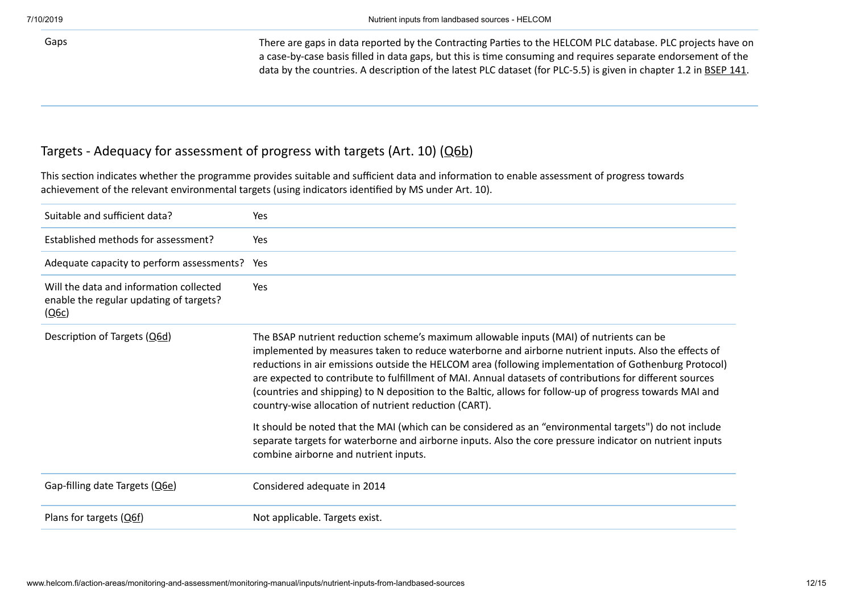Gaps Gaps There are gaps in data reported by the Contracting Parties to the HELCOM PLC database. PLC projects have on a case-by-case basis filled in data gaps, but this is time consuming and requires separate endorsement of the data by the countries. A description of the latest PLC dataset (for PLC-5.5) is given in chapter 1.2 in [BSEP](http://www.helcom.fi/Lists/Publications/BSEP141.pdf) 141.

## Targets - Adequacy for assessment of progress with targets (Art. 10) ([Q6b\)](http://www.helcom.fi/action-areas/monitoring-and-assessment/monitoring-manual/introduction#6b)

This section indicates whether the programme provides suitable and sufficient data and information to enable assessment of progress towards achievement of the relevant environmental targets (using indicators idenfied by MS under Art. 10).

| Suitable and sufficient data?                                                               | Yes                                                                                                                                                                                                                                                                                                                                                                                                                                                                                                                                                                                       |
|---------------------------------------------------------------------------------------------|-------------------------------------------------------------------------------------------------------------------------------------------------------------------------------------------------------------------------------------------------------------------------------------------------------------------------------------------------------------------------------------------------------------------------------------------------------------------------------------------------------------------------------------------------------------------------------------------|
| Established methods for assessment?                                                         | Yes                                                                                                                                                                                                                                                                                                                                                                                                                                                                                                                                                                                       |
| Adequate capacity to perform assessments?                                                   | Yes                                                                                                                                                                                                                                                                                                                                                                                                                                                                                                                                                                                       |
| Will the data and information collected<br>enable the regular updating of targets?<br>(Q6c) | Yes                                                                                                                                                                                                                                                                                                                                                                                                                                                                                                                                                                                       |
| Description of Targets (Q6d)                                                                | The BSAP nutrient reduction scheme's maximum allowable inputs (MAI) of nutrients can be<br>implemented by measures taken to reduce waterborne and airborne nutrient inputs. Also the effects of<br>reductions in air emissions outside the HELCOM area (following implementation of Gothenburg Protocol)<br>are expected to contribute to fulfillment of MAI. Annual datasets of contributions for different sources<br>(countries and shipping) to N deposition to the Baltic, allows for follow-up of progress towards MAI and<br>country-wise allocation of nutrient reduction (CART). |
|                                                                                             | It should be noted that the MAI (which can be considered as an "environmental targets") do not include<br>separate targets for waterborne and airborne inputs. Also the core pressure indicator on nutrient inputs<br>combine airborne and nutrient inputs.                                                                                                                                                                                                                                                                                                                               |
| Gap-filling date Targets (Q6e)                                                              | Considered adequate in 2014                                                                                                                                                                                                                                                                                                                                                                                                                                                                                                                                                               |
| Plans for targets (O6f)                                                                     | Not applicable. Targets exist.                                                                                                                                                                                                                                                                                                                                                                                                                                                                                                                                                            |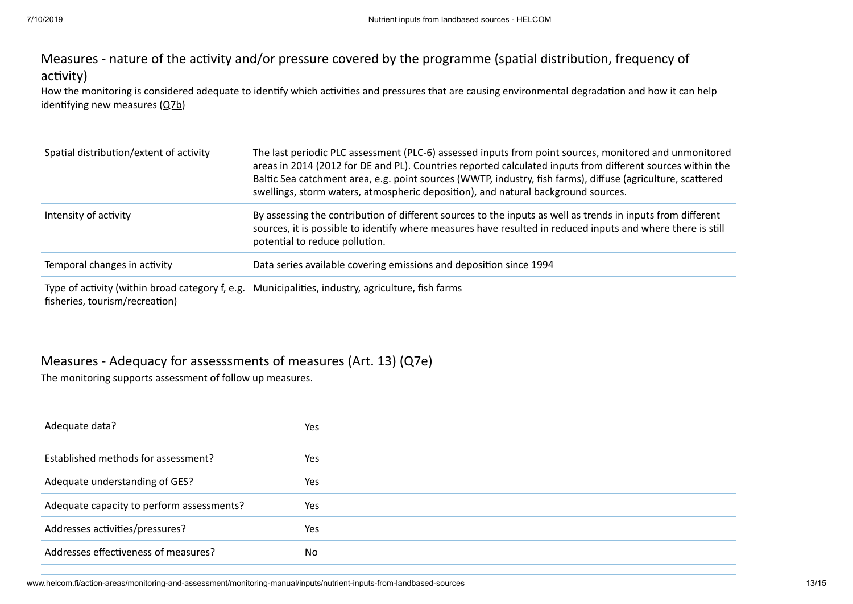# Measures - nature of the activity and/or pressure covered by the programme (spatial distribution, frequency of activity)

How the monitoring is considered adequate to identify which activities and pressures that are causing environmental degradation and how it can help identifying new measures  $(Q7b)$  $(Q7b)$ 

| Spatial distribution/extent of activity | The last periodic PLC assessment (PLC-6) assessed inputs from point sources, monitored and unmonitored<br>areas in 2014 (2012 for DE and PL). Countries reported calculated inputs from different sources within the<br>Baltic Sea catchment area, e.g. point sources (WWTP, industry, fish farms), diffuse (agriculture, scattered<br>swellings, storm waters, atmospheric deposition), and natural background sources. |
|-----------------------------------------|--------------------------------------------------------------------------------------------------------------------------------------------------------------------------------------------------------------------------------------------------------------------------------------------------------------------------------------------------------------------------------------------------------------------------|
| Intensity of activity                   | By assessing the contribution of different sources to the inputs as well as trends in inputs from different<br>sources, it is possible to identify where measures have resulted in reduced inputs and where there is still<br>potential to reduce pollution.                                                                                                                                                             |
| Temporal changes in activity            | Data series available covering emissions and deposition since 1994                                                                                                                                                                                                                                                                                                                                                       |
| fisheries, tourism/recreation)          | Type of activity (within broad category f, e.g. Municipalities, industry, agriculture, fish farms                                                                                                                                                                                                                                                                                                                        |

## Measures - Adequacy for assesssments of measures (Art. 13) ([Q7e\)](http://www.helcom.fi/action-areas/monitoring-and-assessment/monitoring-manual/introduction#7e)

The monitoring supports assessment of follow up measures.

| Adequate data?                            | Yes |
|-------------------------------------------|-----|
| Established methods for assessment?       | Yes |
| Adequate understanding of GES?            | Yes |
| Adequate capacity to perform assessments? | Yes |
| Addresses activities/pressures?           | Yes |
| Addresses effectiveness of measures?      | No  |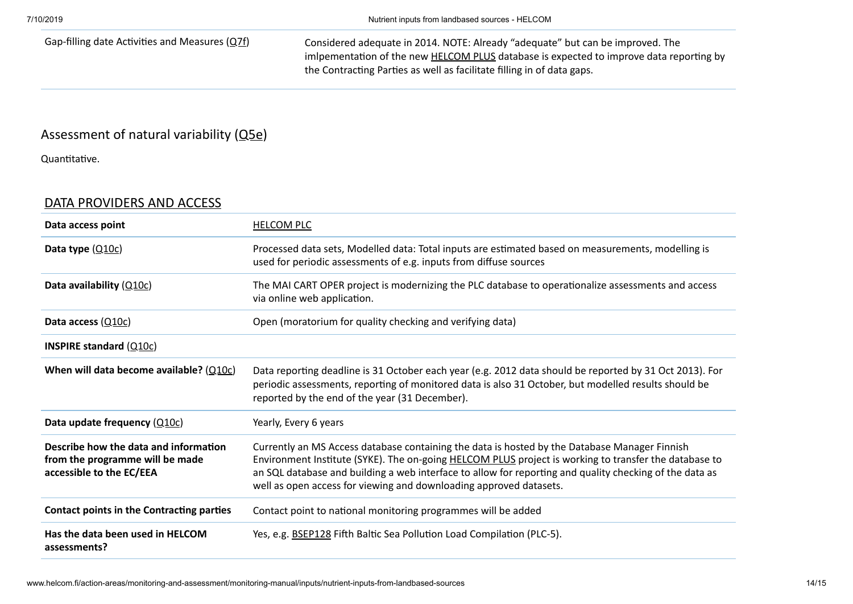Gap-filling date Activities and Measures  $(Q7f)$  Considered adequate in 2014. NOTE: Already "adequate" but can be improved. The imlpementation of the new [HELCOM](http://www.helcom.fi/helcom-at-work/projects/plus) PLUS database is expected to improve data reporting by the Contracting Parties as well as facilitate filling in of data gaps.

## Assessment of natural variability [\(Q5e](http://www.helcom.fi/action-areas/monitoring-and-assessment/monitoring-manual/introduction#5e))

Quantitative.

### <span id="page-13-0"></span>[DATA PROVIDERS AND ACCESS](http://www.helcom.fi/action-areas/monitoring-and-assessment/monitoring-manual/inputs/nutrient-inputs-from-landbased-sources)

| Data access point                                                                                    | <b>HELCOM PLC</b>                                                                                                                                                                                                                                                                                                                                                                       |
|------------------------------------------------------------------------------------------------------|-----------------------------------------------------------------------------------------------------------------------------------------------------------------------------------------------------------------------------------------------------------------------------------------------------------------------------------------------------------------------------------------|
| Data type $(Q10c)$                                                                                   | Processed data sets, Modelled data: Total inputs are estimated based on measurements, modelling is<br>used for periodic assessments of e.g. inputs from diffuse sources                                                                                                                                                                                                                 |
| Data availability $(Q10c)$                                                                           | The MAI CART OPER project is modernizing the PLC database to operationalize assessments and access<br>via online web application.                                                                                                                                                                                                                                                       |
| Data access $(Q10c)$                                                                                 | Open (moratorium for quality checking and verifying data)                                                                                                                                                                                                                                                                                                                               |
| <b>INSPIRE standard (<math>Q10c</math>)</b>                                                          |                                                                                                                                                                                                                                                                                                                                                                                         |
| When will data become available? $(Q10c)$                                                            | Data reporting deadline is 31 October each year (e.g. 2012 data should be reported by 31 Oct 2013). For<br>periodic assessments, reporting of monitored data is also 31 October, but modelled results should be<br>reported by the end of the year (31 December).                                                                                                                       |
| Data update frequency $(Q10c)$                                                                       | Yearly, Every 6 years                                                                                                                                                                                                                                                                                                                                                                   |
| Describe how the data and information<br>from the programme will be made<br>accessible to the EC/EEA | Currently an MS Access database containing the data is hosted by the Database Manager Finnish<br>Environment Institute (SYKE). The on-going HELCOM PLUS project is working to transfer the database to<br>an SQL database and building a web interface to allow for reporting and quality checking of the data as<br>well as open access for viewing and downloading approved datasets. |
| Contact points in the Contracting parties                                                            | Contact point to national monitoring programmes will be added                                                                                                                                                                                                                                                                                                                           |
| Has the data been used in HELCOM<br>assessments?                                                     | Yes, e.g. <b>BSEP128</b> Fifth Baltic Sea Pollution Load Compilation (PLC-5).                                                                                                                                                                                                                                                                                                           |